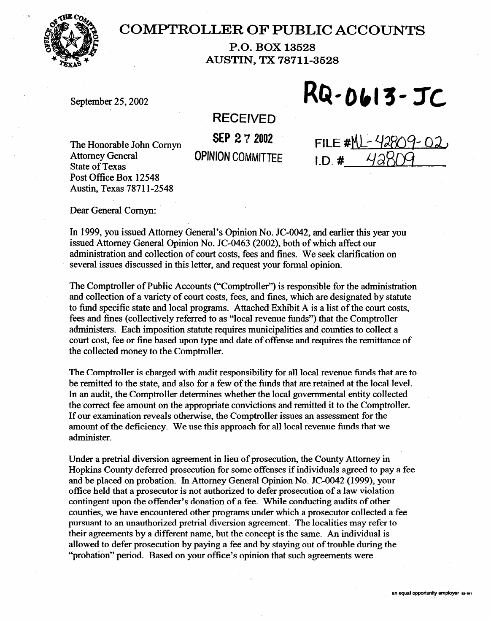

## **COMPTROLLER OF PUBLIC ACCOUNTS**

**P.O. BOX 13528 AUSTIN, TX 78711-3528** 

September 25,2002

RQ-0613-JC

**RECEIVED** 

**SEP 2 7** 2002 **OPINION COMMITTEE** 

The Honorable John Comyn Attorney General State of Texas<br>Post Office Box 12548  $P(0)$  Office Box 12548 Austin, Texas 787 1 l-2548

FILE # $ML-428$  $LD.$ #

Dear General Comyn:

In 1999, you issued Attorney General's Opinion No. JC-0042, and earlier this year you issued Attorney General Opinion No. JC-0463 (2002), both of which affect our administration and collection of court costs, fees and fines. We seek clarification on administration and concentru of court costs, fees and fines. We seek clarification on several issues discussed in this letter, and request your formal opinion.

The Comptroller of Public Accounts ("Comptroller") is responsible for the administration and collection of a variety of court costs, fees, and fines, which are designated by statute to fund specific state and local programs. Attached Exhibit A is a list of the court costs, fees and fines (collectively referred to as "local revenue funds") that the Comptroller administers. Each imposition statute requires municipalities and counties to collect a court cost, fee or fine based upon type and date of offense and requires the remittance of court cost, fee or fine based upon type and date of offense and requires the remittance of the collected money to the Comptroller.

The Comptroller is charged with audit responsibility for all local revenue funds that are to be remitted to the state, and also for a few of the funds that are retained at the local level. In an audit, the Comptroller determines whether the local governmental entity collected. the correct fee amount on the appropriate convictions and remitted it to the Comptroller. If our examination reveals otherwise, the Comptroller issues an assessment for the amount of the deficiency. We use this approach for all local revenue funds that we administer.

Under a pretrial diversion agreement in lieu of prosecution, the County Attorney in Hopkins County deferred prosecution for some offenses if individuals agreed to pay a fee and be placed on probation. In Attorney General Opinion No. JC-0042 (1999), your office held that a prosecutor is not authorized to defer prosecution of a law violation contingent upon the offender's donation of a fee. While conducting audits of other counties, we have encountered other programs under which a prosecutor collected a fee. pursuant to an unauthorized pretrial diversion agreement. The localities may refer to their agreements by a different name, but the concept is the same. An individual is allowed to defer prosecution by paying a fee and by staying out of trouble during the "probation" period. Based on your office's opinion that such agreements were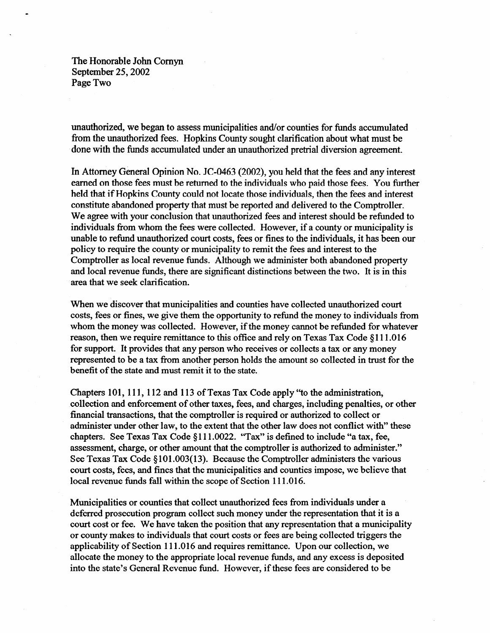The Honorable John Comyn September 25,2002 Page Two

unauthorized, we began to assess municipalities and/or counties for funds accumulated from the unauthorized fees. Hopkins County sought clarification about what must be done with the funds accumulated under an unauthorized pretrial diversion agreement.

In Attorney General Opinion No. JC-0463 (2002), you held that the fees and any interest earned on those fees must be returned to the individuals who paid those fees. You further held that if Hopkins County could not locate those individuals, then the fees and interest constitute abandoned property that must be reported and delivered to the Comptroller. We agree with your conclusion that unauthorized fees and interest should be refunded to individuals from whom the fees were collected. However, if a county or municipality is unable to refund unauthorized court costs, fees or fines to the individuals, it has been our policy to require the county or municipality to remit the fees and interest to the Comptroller as local revenue funds. Although we administer both abandoned property and local revenue funds, there are significant distinctions between the two. It is in this area that we seek clarification.

When we discover that municipalities and counties have collected unauthorized court costs, fees or fines, we give them the opportunity to refund the money to individuals from whom the money was collected. However, if the money cannot be refunded for whatever reason, then we require remittance to this office and rely on Texas Tax Code §111.016 for support. It provides that any person who receives or collects a tax or any money represented to be a tax from another person holds the amount so collected in trust for the benefit of the state and must remit it to the state.

Chapters 101, 111, 112 and 113 of Texas Tax Code apply "to the administration, collection and enforcement of other taxes, fees, and charges, including penalties, or other financial transactions, that the comptroller is required or authorized to collect or administer under other law, to the extent that the other law does not conflict with" these chapters. See Texas Tax Code \$111.0022. 'Tax" is defined to include "a tax, fee, assessment, charge, or other amount that the comptroller is authorized to administer." See Texas Tax Code  $\S 101.003(13)$ . Because the Comptroller administers the various court costs, fees, and fines that the municipalities and counties impose, we believe that local revenue funds fall within the scope of Section 111.016.

Municipalities or counties that collect unauthorized fees from individuals under a deferred prosecution program collect such money under the representation that it is a court cost or fee. We have taken the position that any representation that a municipality or county makes to individuals that court costs or fees are being collected triggers the applicability of Section 111.016 and requires remittance. Upon our collection, we allocate the money to the appropriate local revenue funds, and any excess is deposited into the state's General Revenue fund. However, if these fees are considered to be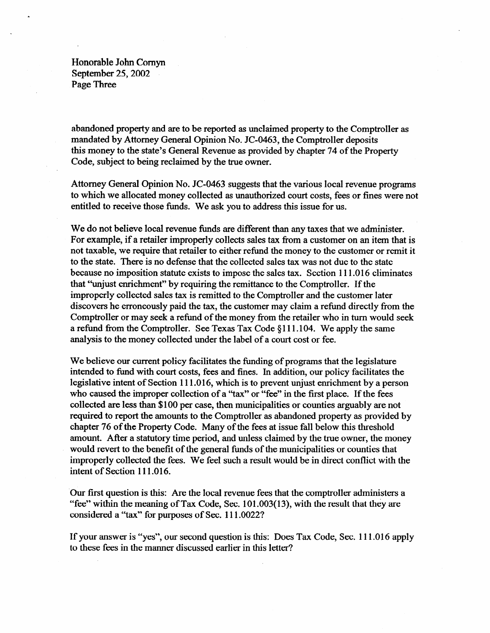Honorable John Comyn September 25,2002 Page Three

abandoned property and are to be reported as unclaimed property to the Comptroller as mandated by Attorney General Opinion No. JC-0463, the Comptroller deposits this money to the state's General Revenue as provided by chapter 74 of the Property Code, subject to being reclaimed by the true owner.

Attorney General Opinion No. JC-0463 suggests that the various local revenue programs to which we allocated money collected as unauthorized court costs, fees or fines were not entitled to receive those funds. We ask you to address this issue for us.

We do not believe local revenue funds are different than any taxes that we administer. For example, if a retailer improperly collects sales tax from a customer on an item that is not taxable, we require that retailer to either refund the money to the customer or remit it to the state. There is no defense that the collected sales tax was not due to the state because no imposition statute exists to impose the sales tax. Section 111 .016 eliminates that "unjust enrichment" by requiring the remittance to the Comptroller. If the improperly collected sales tax is remitted to the Comptroller and the customer later discovers he erroneously paid the tax, the customer may claim a refund directly from the Comptroller or may seek a refund of the money from the retailer who in turn would seek a refund from the Comptroller. See Texas Tax Code  $§111.104$ . We apply the same analysis to the money collected under the label of a court cost or fee.

We believe our current policy facilitates the funding of programs that the legislature intended to fund with court costs, fees and fines. In addition, our policy facilitates the legislative intent of Section 111 .016, which is to prevent unjust enrichment by a person who caused the improper collection of a "tax" or "fee" in the first place. If the fees collected are less than \$100 per case, then municipalities or counties arguably are not required to report the amounts to the Comptroller as abandoned property as provided by chapter 76 of the Property Code. Many of the fees at issue fall below this threshold amount. After a statutory time period, and unless claimed by the true owner, the money would revert to the benefit of the general funds of the municipalities or counties that improperly collected the fees. We feel such a result would be in direct conflict with the intent of Section 111 .016.

Our first question is this: Are the local revenue fees that the comptroller administers a "fee" within the meaning of Tax Code, Sec. 101.003( 13), with the result that they are considered a "tax" for purposes of Sec. 111.0022?

If your answer is "yes", our second question is this: Does Tax Code, Sec. 111 .016 apply to these fees in the manner discussed earlier in this letter?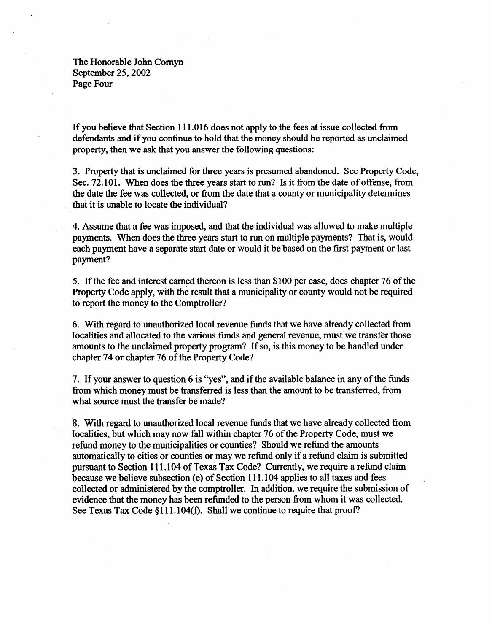The Honorable John Comyn September 25,2002 Page Four

If you believe that Section 111 .016 does not apply to the fees at issue collected Tom defendants and if you continue to hold that the money should be reported as unclaimed property, then we ask that you answer the following questions:

3. Property that is unclaimed for three years is presumed abandoned. See Property Code, Sec. 72.101. When does the three years start to run? Is it from the date of offense, from the date the fee was collected, or from the date that a county or municipality determines that it is unable to locate the individual?

4. Assume that a fee was imposed, and that the individual was allowed to make multiple payments. When does the three years start to run on multiple payments? That is, would each payment have a separate start date or would it be based on the first payment or last payment?

5. If the fee and interest earned thereon is less than \$100 per case, does chapter 76 of the Property Code apply, with the result that a municipality or county would not be required to report the money to the Comptroller?

6. With regard to unauthorized local revenue funds that we have already collected from localities and allocated to the various funds and general revenue, must we transfer those amounts to the unclaimed property program? If so, is this money to be handled under chapter 74 or chapter 76 of the Property Code?

7. If your answer to question 6 is "yes", and if the available balance in any of the funds from which money must be transferred is less than the amount to be transferred, from what source must the transfer be made?

8. With regard to unauthorized local revenue funds that we have already collected from localities, but which may now fall within chapter 76 of the Property Code, must we refund money to the municipalities or counties? Should we refund the amounts automatically to cities or counties or may we refund only if a refund claim is submitted pursuant to Section 111.104 of Texas Tax Code? Currently, we require a refund claim because we believe subsection (e) of Section 111.104 applies to all taxes and fees collected or administered by the comptroller. In addition, we require the submission of evidence that the money has been refunded to the person from whom it was collected. See Texas Tax Code  $\S 111.104(f)$ . Shall we continue to require that proof?